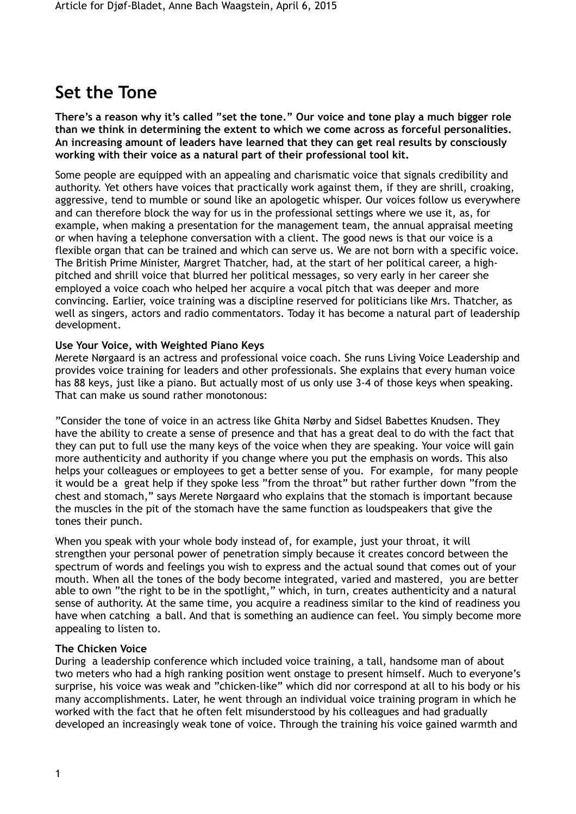# **Set the Tone**

**There's a reason why it's called "set the tone." Our voice and tone play a much bigger role than we think in determining the extent to which we come across as forceful personalities. An increasing amount of leaders have learned that they can get real results by consciously working with their voice as a natural part of their professional tool kit.** 

Some people are equipped with an appealing and charismatic voice that signals credibility and authority. Yet others have voices that practically work against them, if they are shrill, croaking, aggressive, tend to mumble or sound like an apologetic whisper. Our voices follow us everywhere and can therefore block the way for us in the professional settings where we use it, as, for example, when making a presentation for the management team, the annual appraisal meeting or when having a telephone conversation with a client. The good news is that our voice is a flexible organ that can be trained and which can serve us. We are not born with a specific voice. The British Prime Minister, Margret Thatcher, had, at the start of her political career, a highpitched and shrill voice that blurred her political messages, so very early in her career she employed a voice coach who helped her acquire a vocal pitch that was deeper and more convincing. Earlier, voice training was a discipline reserved for politicians like Mrs. Thatcher, as well as singers, actors and radio commentators. Today it has become a natural part of leadership development.

### **Use Your Voice, with Weighted Piano Keys**

Merete Nørgaard is an actress and professional voice coach. She runs Living Voice Leadership and provides voice training for leaders and other professionals. She explains that every human voice has 88 keys, just like a piano. But actually most of us only use 3-4 of those keys when speaking. That can make us sound rather monotonous:

"Consider the tone of voice in an actress like Ghita Nørby and Sidsel Babettes Knudsen. They have the ability to create a sense of presence and that has a great deal to do with the fact that they can put to full use the many keys of the voice when they are speaking. Your voice will gain more authenticity and authority if you change where you put the emphasis on words. This also helps your colleagues or employees to get a better sense of you. For example, for many people it would be a great help if they spoke less "from the throat" but rather further down "from the chest and stomach," says Merete Nørgaard who explains that the stomach is important because the muscles in the pit of the stomach have the same function as loudspeakers that give the tones their punch.

When you speak with your whole body instead of, for example, just your throat, it will strengthen your personal power of penetration simply because it creates concord between the spectrum of words and feelings you wish to express and the actual sound that comes out of your mouth. When all the tones of the body become integrated, varied and mastered, you are better able to own "the right to be in the spotlight," which, in turn, creates authenticity and a natural sense of authority. At the same time, you acquire a readiness similar to the kind of readiness you have when catching a ball. And that is something an audience can feel. You simply become more appealing to listen to.

### **The Chicken Voice**

During a leadership conference which included voice training, a tall, handsome man of about two meters who had a high ranking position went onstage to present himself. Much to everyone's surprise, his voice was weak and "chicken-like" which did nor correspond at all to his body or his many accomplishments. Later, he went through an individual voice training program in which he worked with the fact that he often felt misunderstood by his colleagues and had gradually developed an increasingly weak tone of voice. Through the training his voice gained warmth and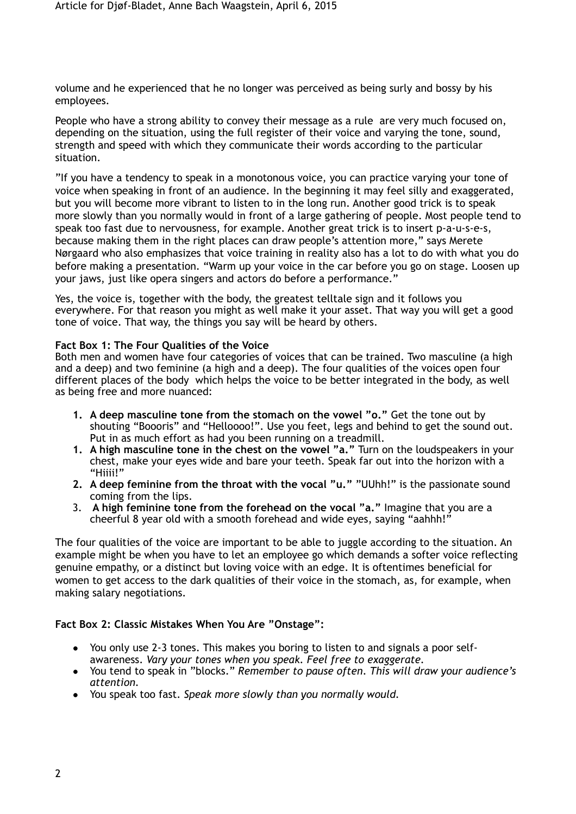volume and he experienced that he no longer was perceived as being surly and bossy by his employees.

People who have a strong ability to convey their message as a rule are very much focused on, depending on the situation, using the full register of their voice and varying the tone, sound, strength and speed with which they communicate their words according to the particular situation.

"If you have a tendency to speak in a monotonous voice, you can practice varying your tone of voice when speaking in front of an audience. In the beginning it may feel silly and exaggerated, but you will become more vibrant to listen to in the long run. Another good trick is to speak more slowly than you normally would in front of a large gathering of people. Most people tend to speak too fast due to nervousness, for example. Another great trick is to insert p-a-u-s-e-s, because making them in the right places can draw people's attention more," says Merete Nørgaard who also emphasizes that voice training in reality also has a lot to do with what you do before making a presentation. "Warm up your voice in the car before you go on stage. Loosen up your jaws, just like opera singers and actors do before a performance."

Yes, the voice is, together with the body, the greatest telltale sign and it follows you everywhere. For that reason you might as well make it your asset. That way you will get a good tone of voice. That way, the things you say will be heard by others.

### **Fact Box 1: The Four Qualities of the Voice**

Both men and women have four categories of voices that can be trained. Two masculine (a high and a deep) and two feminine (a high and a deep). The four qualities of the voices open four different places of the body which helps the voice to be better integrated in the body, as well as being free and more nuanced:

- **1. A deep masculine tone from the stomach on the vowel "o."** Get the tone out by shouting "Boooris" and "Helloooo!". Use you feet, legs and behind to get the sound out. Put in as much effort as had you been running on a treadmill.
- **1. A high masculine tone in the chest on the vowel "a."** Turn on the loudspeakers in your chest, make your eyes wide and bare your teeth. Speak far out into the horizon with a "Hiiii!"
- **2. A deep feminine from the throat with the vocal "u."** "UUhh!" is the passionate sound coming from the lips.
- 3. **A high feminine tone from the forehead on the vocal "a."** Imagine that you are a cheerful 8 year old with a smooth forehead and wide eyes, saying "aahhh!"

The four qualities of the voice are important to be able to juggle according to the situation. An example might be when you have to let an employee go which demands a softer voice reflecting genuine empathy, or a distinct but loving voice with an edge. It is oftentimes beneficial for women to get access to the dark qualities of their voice in the stomach, as, for example, when making salary negotiations.

### **Fact Box 2: Classic Mistakes When You Are "Onstage":**

- **!** You only use 2-3 tones. This makes you boring to listen to and signals a poor selfawareness. *Vary your tones when you speak. Feel free to exaggerate.*
- **!** You tend to speak in "blocks." *Remember to pause often*. *This will draw your audience's attention.*
- **!** You speak too fast. *Speak more slowly than you normally would.*